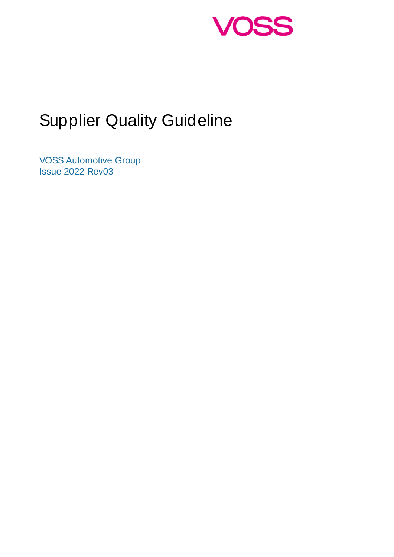

# Supplier Quality Guideline

VOSS Automotive Group Issue 2022 Rev03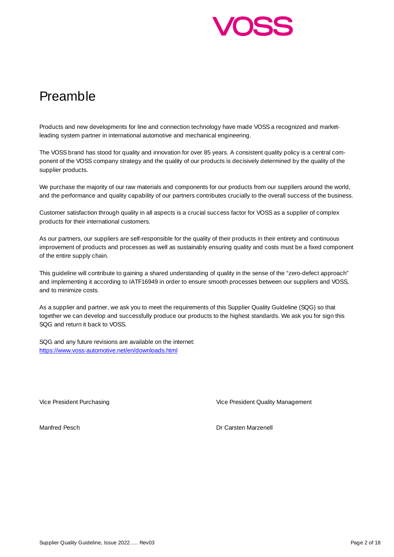

## Preamble

Products and new developments for line and connection technology have made VOSS a recognized and marketleading system partner in international automotive and mechanical engineering.

The VOSS brand has stood for quality and innovation for over 85 years. A consistent quality policy is a central component of the VOSS company strategy and the quality of our products is decisively determined by the quality of the supplier products.

We purchase the majority of our raw materials and components for our products from our suppliers around the world, and the performance and quality capability of our partners contributes crucially to the overall success of the business.

Customer satisfaction through quality in all aspects is a crucial success factor for VOSS as a supplier of complex products for their international customers.

As our partners, our suppliers are self-responsible for the quality of their products in their entirety and continuous improvement of products and processes as well as sustainably ensuring quality and costs must be a fixed component of the entire supply chain.

This guideline will contribute to gaining a shared understanding of quality in the sense of the "zero-defect approach" and implementing it according to IATF16949 in order to ensure smooth processes between our suppliers and VOSS, and to minimize costs.

As a supplier and partner, we ask you to meet the requirements of this Supplier Quality Guideline (SQG) so that together we can develop and successfully produce our products to the highest standards. We ask you for sign this SQG and return it back to VOSS.

SQG and any future revisions are available on the internet: https://www.voss-automotive.net/en/downloads.html

Vice President Purchasing Vice President Quality Management

Manfred Pesch Dr Carsten Marzenell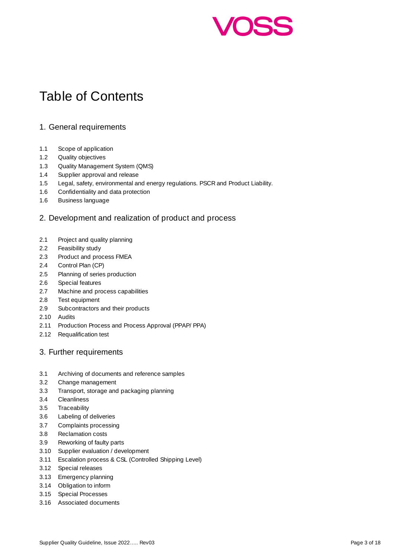

## Table of Contents

#### 1. General requirements

- 1.1 Scope of application
- 1.2 Quality objectives
- 1.3 Quality Management System (QMS)
- 1.4 Supplier approval and release
- 1.5 Legal, safety, environmental and energy regulations. PSCR and Product Liability.
- 1.6 Confidentiality and data protection
- 1.6 Business language

#### 2. Development and realization of product and process

- 2.1 Project and quality planning
- 2.2 Feasibility study
- 2.3 Product and process FMEA
- 2.4 Control Plan (CP)
- 2.5 Planning of series production
- 2.6 Special features
- 2.7 Machine and process capabilities
- 2.8 Test equipment
- 2.9 Subcontractors and their products
- 2.10 Audits
- 2.11 Production Process and Process Approval (PPAP/ PPA)
- 2.12 Requalification test

#### 3. Further requirements

- 3.1 Archiving of documents and reference samples
- 3.2 Change management
- 3.3 Transport, storage and packaging planning
- 3.4 Cleanliness
- 3.5 Traceability
- 3.6 Labeling of deliveries
- 3.7 Complaints processing
- 3.8 Reclamation costs
- 3.9 Reworking of faulty parts
- 3.10 Supplier evaluation / development
- 3.11 Escalation process & CSL (Controlled Shipping Level)
- 3.12 Special releases
- 3.13 Emergency planning
- 3.14 Obligation to inform
- 3.15 Special Processes
- 3.16 Associated documents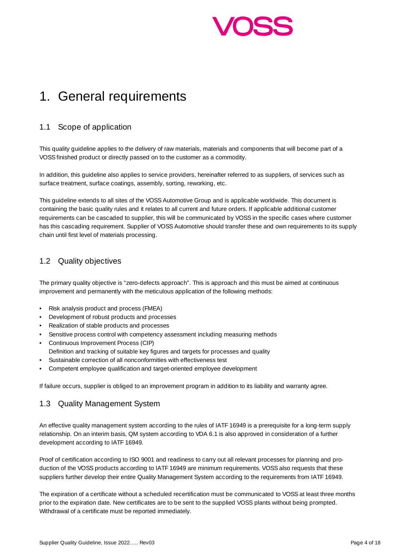

## 1. General requirements

## 1.1 Scope of application

This quality guideline applies to the delivery of raw materials, materials and components that will become part of a VOSS finished product or directly passed on to the customer as a commodity.

In addition, this guideline also applies to service providers, hereinafter referred to as suppliers, of services such as surface treatment, surface coatings, assembly, sorting, reworking, etc.

This guideline extends to all sites of the VOSS Automotive Group and is applicable worldwide. This document is containing the basic quality rules and it relates to all current and future orders. If applicable additional customer requirements can be cascaded to supplier, this will be communicated by VOSS in the specific cases where customer has this cascading requirement. Supplier of VOSS Automotive should transfer these and own requirements to its supply chain until first level of materials processing.

## 1.2 Quality objectives

The primary quality objective is "zero-defects approach". This is approach and this must be aimed at continuous improvement and permanently with the meticulous application of the following methods:

- Risk analysis product and process (FMEA)
- Development of robust products and processes
- Realization of stable products and processes
- Sensitive process control with competency assessment including measuring methods
- Continuous Improvement Process (CIP)
- Definition and tracking of suitable key figures and targets for processes and quality
- Sustainable correction of all nonconformities with effectiveness test
- Competent employee qualification and target-oriented employee development

If failure occurs, supplier is obliged to an improvement program in addition to its liability and warranty agree.

## 1.3 Quality Management System

An effective quality management system according to the rules of IATF 16949 is a prerequisite for a long-term supply relationship. On an interim basis, QM system according to VDA 6.1 is also approved in consideration of a further development according to IATF 16949.

Proof of certification according to ISO 9001 and readiness to carry out all relevant processes for planning and production of the VOSS products according to IATF 16949 are minimum requirements. VOSS also requests that these suppliers further develop their entire Quality Management System according to the requirements from IATF 16949.

The expiration of a certificate without a scheduled recertification must be communicated to VOSS at least three months prior to the expiration date. New certificates are to be sent to the supplied VOSS plants without being prompted. Withdrawal of a certificate must be reported immediately.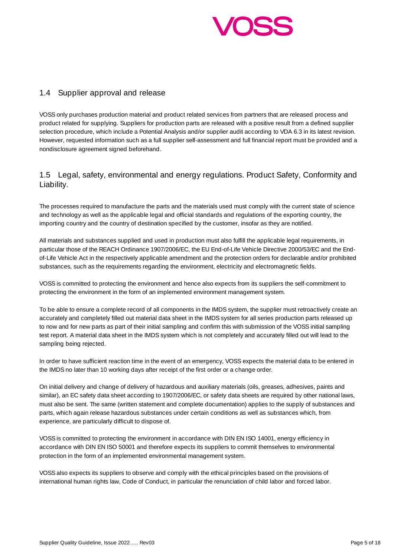

#### 1.4 Supplier approval and release

VOSS only purchases production material and product related services from partners that are released process and product related for supplying. Suppliers for production parts are released with a positive result from a defined supplier selection procedure, which include a Potential Analysis and/or supplier audit according to VDA 6.3 in its latest revision. However, requested information such as a full supplier self-assessment and full financial report must be provided and a nondisclosure agreement signed beforehand.

## 1.5 Legal, safety, environmental and energy regulations. Product Safety, Conformity and Liability.

The processes required to manufacture the parts and the materials used must comply with the current state of science and technology as well as the applicable legal and official standards and regulations of the exporting country, the importing country and the country of destination specified by the customer, insofar as they are notified.

All materials and substances supplied and used in production must also fulfill the applicable legal requirements, in particular those of the REACH Ordinance 1907/2006/EC, the EU End-of-Life Vehicle Directive 2000/53/EC and the Endof-Life Vehicle Act in the respectively applicable amendment and the protection orders for declarable and/or prohibited substances, such as the requirements regarding the environment, electricity and electromagnetic fields.

VOSS is committed to protecting the environment and hence also expects from its suppliers the self-commitment to protecting the environment in the form of an implemented environment management system.

To be able to ensure a complete record of all components in the IMDS system, the supplier must retroactively create an accurately and completely filled out material data sheet in the IMDS system for all series production parts released up to now and for new parts as part of their initial sampling and confirm this with submission of the VOSS initial sampling test report. A material data sheet in the IMDS system which is not completely and accurately filled out will lead to the sampling being rejected.

In order to have sufficient reaction time in the event of an emergency, VOSS expects the material data to be entered in the IMDS no later than 10 working days after receipt of the first order or a change order.

On initial delivery and change of delivery of hazardous and auxiliary materials (oils, greases, adhesives, paints and similar), an EC safety data sheet according to 1907/2006/EC, or safety data sheets are required by other national laws, must also be sent. The same (written statement and complete documentation) applies to the supply of substances and parts, which again release hazardous substances under certain conditions as well as substances which, from experience, are particularly difficult to dispose of.

VOSS is committed to protecting the environment in accordance with DIN EN ISO 14001, energy efficiency in accordance with DIN EN ISO 50001 and therefore expects its suppliers to commit themselves to environmental protection in the form of an implemented environmental management system.

VOSS also expects its suppliers to observe and comply with the ethical principles based on the provisions of international human rights law, Code of Conduct, in particular the renunciation of child labor and forced labor.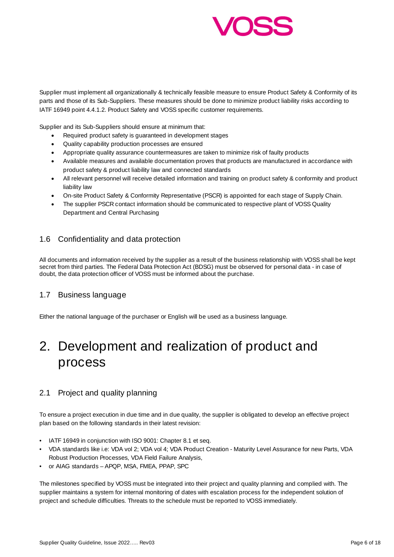

Supplier must implement all organizationally & technically feasible measure to ensure Product Safety & Conformity of its parts and those of its Sub-Suppliers. These measures should be done to minimize product liability risks according to IATF 16949 point 4.4.1.2. Product Safety and VOSS specific customer requirements.

Supplier and its Sub-Suppliers should ensure at minimum that:

- Required product safety is guaranteed in development stages
- Quality capability production processes are ensured
- Appropriate quality assurance countermeasures are taken to minimize risk of faulty products
- Available measures and available documentation proves that products are manufactured in accordance with product safety & product liability law and connected standards
- All relevant personnel will receive detailed information and training on product safety & conformity and product liability law
- On-site Product Safety & Conformity Representative (PSCR) is appointed for each stage of Supply Chain.
- The supplier PSCR contact information should be communicated to respective plant of VOSS Quality Department and Central Purchasing

#### 1.6 Confidentiality and data protection

All documents and information received by the supplier as a result of the business relationship with VOSS shall be kept secret from third parties. The Federal Data Protection Act (BDSG) must be observed for personal data - in case of doubt, the data protection officer of VOSS must be informed about the purchase.

#### 1.7 Business language

Either the national language of the purchaser or English will be used as a business language.

## 2. Development and realization of product and process

## 2.1 Project and quality planning

To ensure a project execution in due time and in due quality, the supplier is obligated to develop an effective project plan based on the following standards in their latest revision:

- IATF 16949 in conjunction with ISO 9001: Chapter 8.1 et seq.
- VDA standards like i.e: VDA vol 2; VDA vol 4; VDA Product Creation Maturity Level Assurance for new Parts, VDA Robust Production Processes, VDA Field Failure Analysis,
- or AIAG standards APQP, MSA, FMEA, PPAP, SPC

The milestones specified by VOSS must be integrated into their project and quality planning and complied with. The supplier maintains a system for internal monitoring of dates with escalation process for the independent solution of project and schedule difficulties. Threats to the schedule must be reported to VOSS immediately.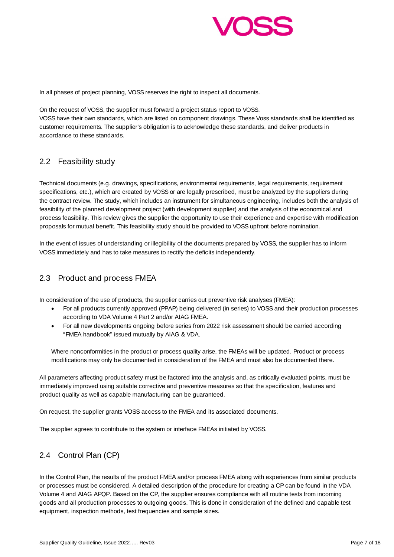

In all phases of project planning, VOSS reserves the right to inspect all documents.

On the request of VOSS, the supplier must forward a project status report to VOSS. VOSS have their own standards, which are listed on component drawings. These Voss standards shall be identified as customer requirements. The supplier's obligation is to acknowledge these standards, and deliver products in accordance to these standards.

## 2.2 Feasibility study

Technical documents (e.g. drawings, specifications, environmental requirements, legal requirements, requirement specifications, etc.), which are created by VOSS or are legally prescribed, must be analyzed by the suppliers during the contract review. The study, which includes an instrument for simultaneous engineering, includes both the analysis of feasibility of the planned development project (with development supplier) and the analysis of the economical and process feasibility. This review gives the supplier the opportunity to use their experience and expertise with modification proposals for mutual benefit. This feasibility study should be provided to VOSS upfront before nomination.

In the event of issues of understanding or illegibility of the documents prepared by VOSS, the supplier has to inform VOSS immediately and has to take measures to rectify the deficits independently.

## 2.3 Product and process FMEA

In consideration of the use of products, the supplier carries out preventive risk analyses (FMEA):

- For all products currently approved (PPAP) being delivered (in series) to VOSS and their production processes according to VDA Volume 4 Part 2 and/or AIAG FMEA.
- For all new developments ongoing before series from 2022 risk assessment should be carried according "FMEA handbook" issued mutually by AIAG & VDA.

Where nonconformities in the product or process quality arise, the FMEAs will be updated. Product or process modifications may only be documented in consideration of the FMEA and must also be documented there.

All parameters affecting product safety must be factored into the analysis and, as critically evaluated points, must be immediately improved using suitable corrective and preventive measures so that the specification, features and product quality as well as capable manufacturing can be guaranteed.

On request, the supplier grants VOSS access to the FMEA and its associated documents.

The supplier agrees to contribute to the system or interface FMEAs initiated by VOSS.

## 2.4 Control Plan (CP)

In the Control Plan, the results of the product FMEA and/or process FMEA along with experiences from similar products or processes must be considered. A detailed description of the procedure for creating a CP can be found in the VDA Volume 4 and AIAG APQP. Based on the CP, the supplier ensures compliance with all routine tests from incoming goods and all production processes to outgoing goods. This is done in consideration of the defined and capable test equipment, inspection methods, test frequencies and sample sizes.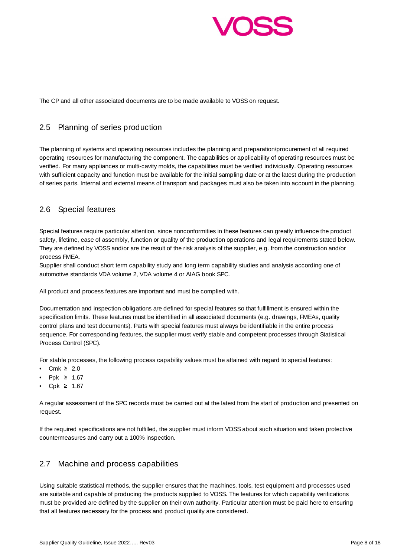

The CP and all other associated documents are to be made available to VOSS on request.

#### 2.5 Planning of series production

The planning of systems and operating resources includes the planning and preparation/procurement of all required operating resources for manufacturing the component. The capabilities or applicability of operating resources must be verified. For many appliances or multi-cavity molds, the capabilities must be verified individually. Operating resources with sufficient capacity and function must be available for the initial sampling date or at the latest during the production of series parts. Internal and external means of transport and packages must also be taken into account in the planning.

## 2.6 Special features

Special features require particular attention, since nonconformities in these features can greatly influence the product safety, lifetime, ease of assembly, function or quality of the production operations and legal requirements stated below. They are defined by VOSS and/or are the result of the risk analysis of the supplier, e.g. from the construction and/or process FMEA.

Supplier shall conduct short term capability study and long term capability studies and analysis according one of automotive standards VDA volume 2, VDA volume 4 or AIAG book SPC.

All product and process features are important and must be complied with.

Documentation and inspection obligations are defined for special features so that fulfillment is ensured within the specification limits. These features must be identified in all associated documents (e.g. drawings, FMEAs, quality control plans and test documents). Parts with special features must always be identifiable in the entire process sequence. For corresponding features, the supplier must verify stable and competent processes through Statistical Process Control (SPC).

For stable processes, the following process capability values must be attained with regard to special features:

- Cmk  $\geq 2.0$
- Ppk  $\geq 1.67$
- Cpk  $\geq 1.67$

A regular assessment of the SPC records must be carried out at the latest from the start of production and presented on request.

If the required specifications are not fulfilled, the supplier must inform VOSS about such situation and taken protective countermeasures and carry out a 100% inspection.

## 2.7 Machine and process capabilities

Using suitable statistical methods, the supplier ensures that the machines, tools, test equipment and processes used are suitable and capable of producing the products supplied to VOSS. The features for which capability verifications must be provided are defined by the supplier on their own authority. Particular attention must be paid here to ensuring that all features necessary for the process and product quality are considered.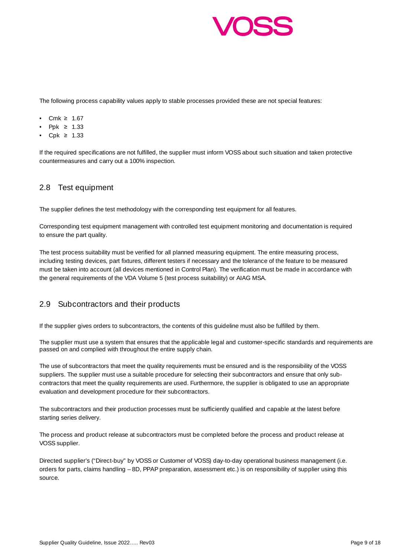

The following process capability values apply to stable processes provided these are not special features:

- Cmk ≥ 1.67
- Ppk  $\geq 1.33$
- Cpk  $\geq 1.33$

If the required specifications are not fulfilled, the supplier must inform VOSS about such situation and taken protective countermeasures and carry out a 100% inspection.

## 2.8 Test equipment

The supplier defines the test methodology with the corresponding test equipment for all features.

Corresponding test equipment management with controlled test equipment monitoring and documentation is required to ensure the part quality.

The test process suitability must be verified for all planned measuring equipment. The entire measuring process, including testing devices, part fixtures, different testers if necessary and the tolerance of the feature to be measured must be taken into account (all devices mentioned in Control Plan). The verification must be made in accordance with the general requirements of the VDA Volume 5 (test process suitability) or AIAG MSA.

#### 2.9 Subcontractors and their products

If the supplier gives orders to subcontractors, the contents of this guideline must also be fulfilled by them.

The supplier must use a system that ensures that the applicable legal and customer-specific standards and requirements are passed on and complied with throughout the entire supply chain.

The use of subcontractors that meet the quality requirements must be ensured and is the responsibility of the VOSS suppliers. The supplier must use a suitable procedure for selecting their subcontractors and ensure that only subcontractors that meet the quality requirements are used. Furthermore, the supplier is obligated to use an appropriate evaluation and development procedure for their subcontractors.

The subcontractors and their production processes must be sufficiently qualified and capable at the latest before starting series delivery.

The process and product release at subcontractors must be completed before the process and product release at VOSS supplier.

Directed supplier's ("Direct-buy" by VOSS or Customer of VOSS) day-to-day operational business management (i.e. orders for parts, claims handling – 8D, PPAP preparation, assessment etc.) is on responsibility of supplier using this source.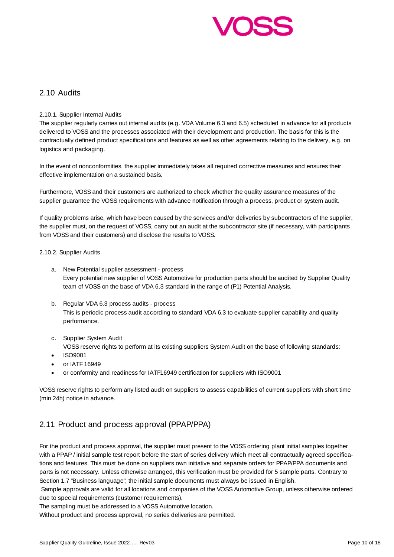

#### 2.10 Audits

#### 2.10.1. Supplier Internal Audits

The supplier regularly carries out internal audits (e.g. VDA Volume 6.3 and 6.5) scheduled in advance for all products delivered to VOSS and the processes associated with their development and production. The basis for this is the contractually defined product specifications and features as well as other agreements relating to the delivery, e.g. on logistics and packaging.

In the event of nonconformities, the supplier immediately takes all required corrective measures and ensures their effective implementation on a sustained basis.

Furthermore, VOSS and their customers are authorized to check whether the quality assurance measures of the supplier guarantee the VOSS requirements with advance notification through a process, product or system audit.

If quality problems arise, which have been caused by the services and/or deliveries by subcontractors of the supplier, the supplier must, on the request of VOSS, carry out an audit at the subcontractor site (if necessary, with participants from VOSS and their customers) and disclose the results to VOSS.

#### 2.10.2. Supplier Audits

- a. New Potential supplier assessment process Every potential new supplier of VOSS Automotive for production parts should be audited by Supplier Quality team of VOSS on the base of VDA 6.3 standard in the range of (P1) Potential Analysis.
- b. Regular VDA 6.3 process audits process This is periodic process audit according to standard VDA 6.3 to evaluate supplier capability and quality performance.
- c. Supplier System Audit
	- VOSS reserve rights to perform at its existing suppliers System Audit on the base of following standards:
- ISO9001
- or IATF 16949
- or conformity and readiness for IATF16949 certification for suppliers with ISO9001

VOSS reserve rights to perform any listed audit on suppliers to assess capabilities of current suppliers with short time (min 24h) notice in advance.

## 2.11 Product and process approval (PPAP/PPA)

For the product and process approval, the supplier must present to the VOSS ordering plant initial samples together with a PPAP / initial sample test report before the start of series delivery which meet all contractually agreed specifications and features. This must be done on suppliers own initiative and separate orders for PPAP/PPA documents and parts is not necessary. Unless otherwise arranged, this verification must be provided for 5 sample parts. Contrary to Section 1.7 "Business language", the initial sample documents must always be issued in English.

 Sample approvals are valid for all locations and companies of the VOSS Automotive Group, unless otherwise ordered due to special requirements (customer requirements).

The sampling must be addressed to a VOSS Automotive location.

Without product and process approval, no series deliveries are permitted.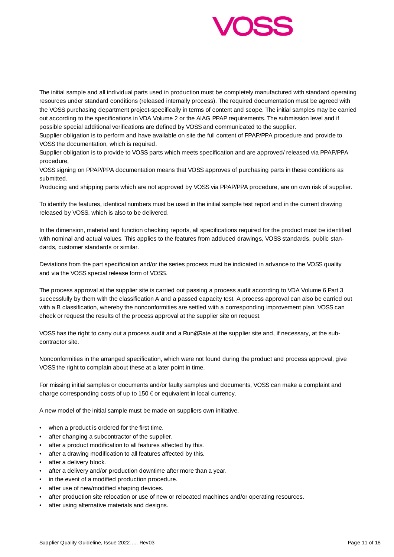

The initial sample and all individual parts used in production must be completely manufactured with standard operating resources under standard conditions (released internally process). The required documentation must be agreed with the VOSS purchasing department project-specifically in terms of content and scope. The initial samples may be carried out according to the specifications in VDA Volume 2 or the AIAG PPAP requirements. The submission level and if possible special additional verifications are defined by VOSS and communicated to the supplier.

Supplier obligation is to perform and have available on site the full content of PPAP/PPA procedure and provide to VOSS the documentation, which is required.

Supplier obligation is to provide to VOSS parts which meets specification and are approved/ released via PPAP/PPA procedure,

VOSS signing on PPAP/PPA documentation means that VOSS approves of purchasing parts in these conditions as submitted.

Producing and shipping parts which are not approved by VOSS via PPAP/PPA procedure, are on own risk of supplier.

To identify the features, identical numbers must be used in the initial sample test report and in the current drawing released by VOSS, which is also to be delivered.

In the dimension, material and function checking reports, all specifications required for the product must be identified with nominal and actual values. This applies to the features from adduced drawings, VOSS standards, public standards, customer standards or similar.

Deviations from the part specification and/or the series process must be indicated in advance to the VOSS quality and via the VOSS special release form of VOSS.

The process approval at the supplier site is carried out passing a process audit according to VDA Volume 6 Part 3 successfully by them with the classification A and a passed capacity test. A process approval can also be carried out with a B classification, whereby the nonconformities are settled with a corresponding improvement plan. VOSS can check or request the results of the process approval at the supplier site on request.

VOSS has the right to carry out a process audit and a Run@Rate at the supplier site and, if necessary, at the subcontractor site.

Nonconformities in the arranged specification, which were not found during the product and process approval, give VOSS the right to complain about these at a later point in time.

For missing initial samples or documents and/or faulty samples and documents, VOSS can make a complaint and charge corresponding costs of up to 150 € or equivalent in local currency.

A new model of the initial sample must be made on suppliers own initiative,

- when a product is ordered for the first time.
- after changing a subcontractor of the supplier.
- after a product modification to all features affected by this.
- after a drawing modification to all features affected by this.
- after a delivery block.
- after a delivery and/or production downtime after more than a year.
- in the event of a modified production procedure.
- after use of new/modified shaping devices.
- after production site relocation or use of new or relocated machines and/or operating resources.
- after using alternative materials and designs.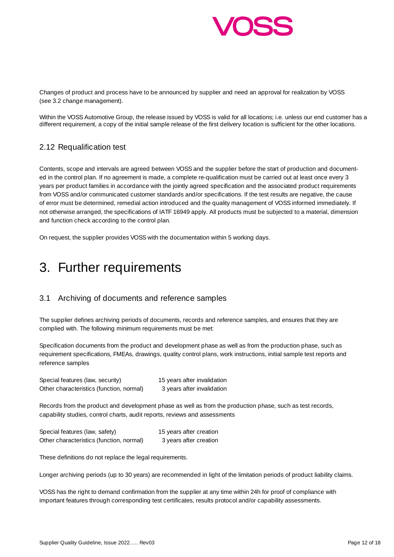

Changes of product and process have to be announced by supplier and need an approval for realization by VOSS (see 3.2 change management).

Within the VOSS Automotive Group, the release issued by VOSS is valid for all locations; i.e. unless our end customer has a different requirement, a copy of the initial sample release of the first delivery location is sufficient for the other locations.

#### 2.12 Requalification test

Contents, scope and intervals are agreed between VOSS and the supplier before the start of production and documented in the control plan. If no agreement is made, a complete re-qualification must be carried out at least once every 3 years per product families in accordance with the jointly agreed specification and the associated product requirements from VOSS and/or communicated customer standards and/or specifications. If the test results are negative, the cause of error must be determined, remedial action introduced and the quality management of VOSS informed immediately. If not otherwise arranged, the specifications of IATF 16949 apply. All products must be subjected to a material, dimension and function check according to the control plan.

On request, the supplier provides VOSS with the documentation within 5 working days.

## 3. Further requirements

## 3.1 Archiving of documents and reference samples

The supplier defines archiving periods of documents, records and reference samples, and ensures that they are complied with. The following minimum requirements must be met:

Specification documents from the product and development phase as well as from the production phase, such as requirement specifications, FMEAs, drawings, quality control plans, work instructions, initial sample test reports and reference samples

| Special features (law, security)         | 15 years after invalidation |
|------------------------------------------|-----------------------------|
| Other characteristics (function, normal) | 3 years after invalidation  |

Records from the product and development phase as well as from the production phase, such as test records, capability studies, control charts, audit reports, reviews and assessments

| Special features (law, safety)           | 15 years after creation |
|------------------------------------------|-------------------------|
| Other characteristics (function, normal) | 3 years after creation  |

These definitions do not replace the legal requirements.

Longer archiving periods (up to 30 years) are recommended in light of the limitation periods of product liability claims.

VOSS has the right to demand confirmation from the supplier at any time within 24h for proof of compliance with important features through corresponding test certificates, results protocol and/or capability assessments.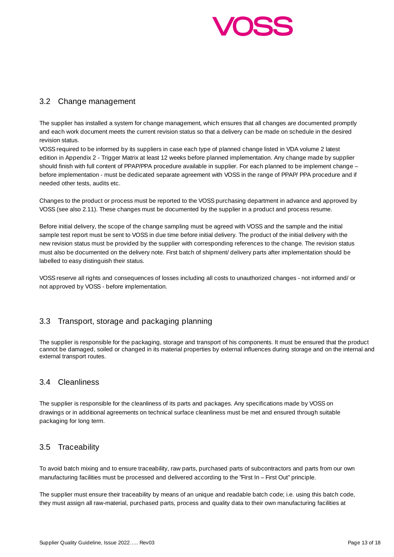

## 3.2 Change management

The supplier has installed a system for change management, which ensures that all changes are documented promptly and each work document meets the current revision status so that a delivery can be made on schedule in the desired revision status.

VOSS required to be informed by its suppliers in case each type of planned change listed in VDA volume 2 latest edition in Appendix 2 - Trigger Matrix at least 12 weeks before planned implementation. Any change made by supplier should finish with full content of PPAP/PPA procedure available in supplier. For each planned to be implement change – before implementation - must be dedicated separate agreement with VOSS in the range of PPAP/ PPA procedure and if needed other tests, audits etc.

Changes to the product or process must be reported to the VOSS purchasing department in advance and approved by VOSS (see also 2.11). These changes must be documented by the supplier in a product and process resume.

Before initial delivery, the scope of the change sampling must be agreed with VOSS and the sample and the initial sample test report must be sent to VOSS in due time before initial delivery. The product of the initial delivery with the new revision status must be provided by the supplier with corresponding references to the change. The revision status must also be documented on the delivery note. First batch of shipment/ delivery parts after implementation should be labelled to easy distinguish their status.

VOSS reserve all rights and consequences of losses including all costs to unauthorized changes - not informed and/ or not approved by VOSS - before implementation.

## 3.3 Transport, storage and packaging planning

The supplier is responsible for the packaging, storage and transport of his components. It must be ensured that the product cannot be damaged, soiled or changed in its material properties by external influences during storage and on the internal and external transport routes.

#### 3.4 Cleanliness

The supplier is responsible for the cleanliness of its parts and packages. Any specifications made by VOSS on drawings or in additional agreements on technical surface cleanliness must be met and ensured through suitable packaging for long term.

#### 3.5 Traceability

To avoid batch mixing and to ensure traceability, raw parts, purchased parts of subcontractors and parts from our own manufacturing facilities must be processed and delivered according to the "First In – First Out" principle.

The supplier must ensure their traceability by means of an unique and readable batch code; i.e. using this batch code, they must assign all raw-material, purchased parts, process and quality data to their own manufacturing facilities at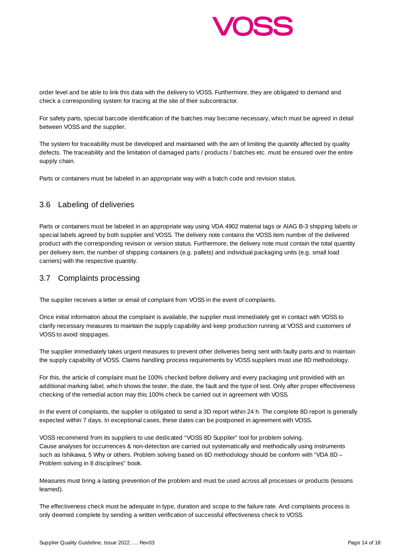

order level and be able to link this data with the delivery to VOSS. Furthermore, they are obligated to demand and check a corresponding system for tracing at the site of their subcontractor.

For safety parts, special barcode identification of the batches may become necessary, which must be agreed in detail between VOSS and the supplier.

The system for traceability must be developed and maintained with the aim of limiting the quantity affected by quality defects. The traceability and the limitation of damaged parts / products / batches etc. must be ensured over the entire supply chain.

Parts or containers must be labeled in an appropriate way with a batch code and revision status.

## 3.6 Labeling of deliveries

Parts or containers must be labeled in an appropriate way using VDA 4902 material tags or AIAG B-3 shipping labels or special labels agreed by both supplier and VOSS. The delivery note contains the VOSS item number of the delivered product with the corresponding revision or version status. Furthermore, the delivery note must contain the total quantity per delivery item, the number of shipping containers (e.g. pallets) and individual packaging units (e.g. small load carriers) with the respective quantity.

#### 3.7 Complaints processing

The supplier receives a letter or email of complaint from VOSS in the event of complaints.

Once initial information about the complaint is available, the supplier must immediately get in contact with VOSS to clarify necessary measures to maintain the supply capability and keep production running at VOSS and customers of VOSS to avoid stoppages.

The supplier immediately takes urgent measures to prevent other deliveries being sent with faulty parts and to maintain the supply capability of VOSS. Claims handling process requirements by VOSS suppliers must use 8D methodology.

For this, the article of complaint must be 100% checked before delivery and every packaging unit provided with an additional marking label, which shows the tester, the date, the fault and the type of test. Only after proper effectiveness checking of the remedial action may this 100% check be carried out in agreement with VOSS.

In the event of complaints, the supplier is obligated to send a 3D report within 24 h. The complete 8D report is generally expected within 7 days. In exceptional cases, these dates can be postponed in agreement with VOSS.

VOSS recommend from its suppliers to use dedicated "VOSS 8D Supplier" tool for problem solving. Cause analyses for occurrences & non-detection are carried out systematically and methodically using instruments such as Ishikawa, 5 Why or others. Problem solving based on 8D methodology should be conform with "VDA 8D – Problem solving in 8 disciplines" book.

Measures must bring a lasting prevention of the problem and must be used across all processes or products (lessons learned).

The effectiveness check must be adequate in type, duration and scope to the failure rate. And complaints process is only deemed complete by sending a written verification of successful effectiveness check to VOSS.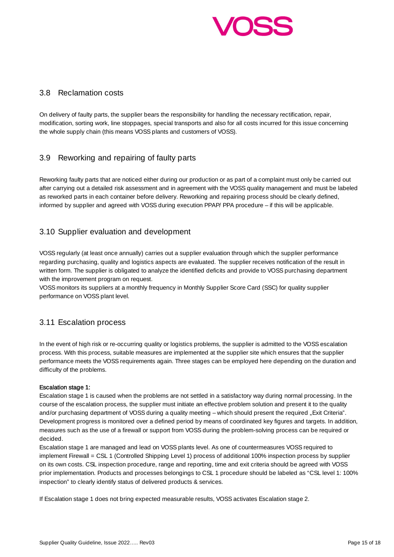

#### 3.8 Reclamation costs

On delivery of faulty parts, the supplier bears the responsibility for handling the necessary rectification, repair, modification, sorting work, line stoppages, special transports and also for all costs incurred for this issue concerning the whole supply chain (this means VOSS plants and customers of VOSS).

## 3.9 Reworking and repairing of faulty parts

Reworking faulty parts that are noticed either during our production or as part of a complaint must only be carried out after carrying out a detailed risk assessment and in agreement with the VOSS quality management and must be labeled as reworked parts in each container before delivery. Reworking and repairing process should be clearly defined, informed by supplier and agreed with VOSS during execution PPAP/ PPA procedure – if this will be applicable.

## 3.10 Supplier evaluation and development

VOSS regularly (at least once annually) carries out a supplier evaluation through which the supplier performance regarding purchasing, quality and logistics aspects are evaluated. The supplier receives notification of the result in written form. The supplier is obligated to analyze the identified deficits and provide to VOSS purchasing department with the improvement program on request.

VOSS monitors its suppliers at a monthly frequency in Monthly Supplier Score Card (SSC) for quality supplier performance on VOSS plant level.

## 3.11 Escalation process

In the event of high risk or re-occurring quality or logistics problems, the supplier is admitted to the VOSS escalation process. With this process, suitable measures are implemented at the supplier site which ensures that the supplier performance meets the VOSS requirements again. Three stages can be employed here depending on the duration and difficulty of the problems.

#### Escalation stage 1:

Escalation stage 1 is caused when the problems are not settled in a satisfactory way during normal processing. In the course of the escalation process, the supplier must initiate an effective problem solution and present it to the quality and/or purchasing department of VOSS during a quality meeting – which should present the required "Exit Criteria". Development progress is monitored over a defined period by means of coordinated key figures and targets. In addition, measures such as the use of a firewall or support from VOSS during the problem-solving process can be required or decided.

Escalation stage 1 are managed and lead on VOSS plants level. As one of countermeasures VOSS required to implement Firewall = CSL 1 (Controlled Shipping Level 1) process of additional 100% inspection process by supplier on its own costs. CSL inspection procedure, range and reporting, time and exit criteria should be agreed with VOSS prior implementation. Products and processes belongings to CSL 1 procedure should be labeled as "CSL level 1: 100% inspection" to clearly identify status of delivered products & services.

If Escalation stage 1 does not bring expected measurable results, VOSS activates Escalation stage 2.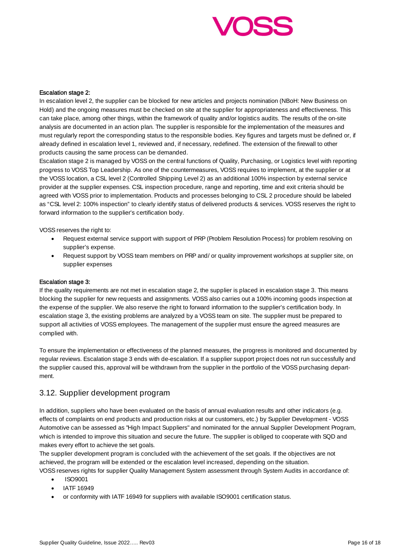

#### Escalation stage 2:

In escalation level 2, the supplier can be blocked for new articles and projects nomination (NBoH: New Business on Hold) and the ongoing measures must be checked on site at the supplier for appropriateness and effectiveness. This can take place, among other things, within the framework of quality and/or logistics audits. The results of the on-site analysis are documented in an action plan. The supplier is responsible for the implementation of the measures and must regularly report the corresponding status to the responsible bodies. Key figures and targets must be defined or, if already defined in escalation level 1, reviewed and, if necessary, redefined. The extension of the firewall to other products causing the same process can be demanded.

Escalation stage 2 is managed by VOSS on the central functions of Quality, Purchasing, or Logistics level with reporting progress to VOSS Top Leadership. As one of the countermeasures, VOSS requires to implement, at the supplier or at the VOSS location, a CSL level 2 (Controlled Shipping Level 2) as an additional 100% inspection by external service provider at the supplier expenses. CSL inspection procedure, range and reporting, time and exit criteria should be agreed with VOSS prior to implementation. Products and processes belonging to CSL 2 procedure should be labeled as "CSL level 2: 100% inspection" to clearly identify status of delivered products & services. VOSS reserves the right to forward information to the supplier's certification body.

VOSS reserves the right to:

- Request external service support with support of PRP (Problem Resolution Process) for problem resolving on supplier's expense.
- Request support by VOSS team members on PRP and/ or quality improvement workshops at supplier site, on supplier expenses

#### Escalation stage 3:

If the quality requirements are not met in escalation stage 2, the supplier is placed in escalation stage 3. This means blocking the supplier for new requests and assignments. VOSS also carries out a 100% incoming goods inspection at the expense of the supplier. We also reserve the right to forward information to the supplier's certification body. In escalation stage 3, the existing problems are analyzed by a VOSS team on site. The supplier must be prepared to support all activities of VOSS employees. The management of the supplier must ensure the agreed measures are complied with.

To ensure the implementation or effectiveness of the planned measures, the progress is monitored and documented by regular reviews. Escalation stage 3 ends with de-escalation. If a supplier support project does not run successfully and the supplier caused this, approval will be withdrawn from the supplier in the portfolio of the VOSS purchasing department.

#### 3.12. Supplier development program

In addition, suppliers who have been evaluated on the basis of annual evaluation results and other indicators (e.g. effects of complaints on end products and production risks at our customers, etc.) by Supplier Development - VOSS Automotive can be assessed as "High Impact Suppliers" and nominated for the annual Supplier Development Program, which is intended to improve this situation and secure the future. The supplier is obliged to cooperate with SQD and makes every effort to achieve the set goals.

The supplier development program is concluded with the achievement of the set goals. If the objectives are not achieved, the program will be extended or the escalation level increased, depending on the situation.

VOSS reserves rights for supplier Quality Management System assessment through System Audits in accordance of:

- ISO9001
- IATF 16949
- or conformity with IATF 16949 for suppliers with available ISO9001 certification status.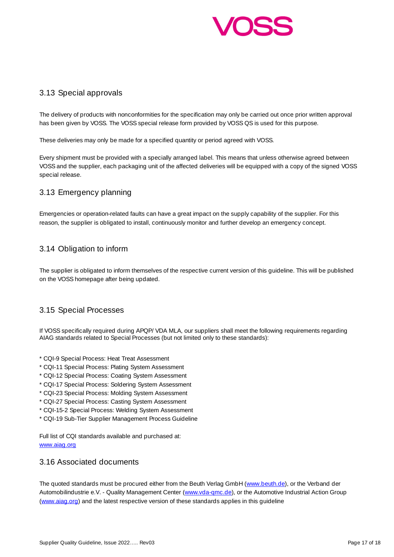

#### 3.13 Special approvals

The delivery of products with nonconformities for the specification may only be carried out once prior written approval has been given by VOSS. The VOSS special release form provided by VOSS QS is used for this purpose.

These deliveries may only be made for a specified quantity or period agreed with VOSS.

Every shipment must be provided with a specially arranged label. This means that unless otherwise agreed between VOSS and the supplier, each packaging unit of the affected deliveries will be equipped with a copy of the signed VOSS special release.

## 3.13 Emergency planning

Emergencies or operation-related faults can have a great impact on the supply capability of the supplier. For this reason, the supplier is obligated to install, continuously monitor and further develop an emergency concept.

## 3.14 Obligation to inform

The supplier is obligated to inform themselves of the respective current version of this guideline. This will be published on the VOSS homepage after being updated.

## 3.15 Special Processes

If VOSS specifically required during APQP/ VDA MLA, our suppliers shall meet the following requirements regarding AIAG standards related to Special Processes (but not limited only to these standards):

- \* CQI-9 Special Process: Heat Treat Assessment
- \* CQI-11 Special Process: Plating System Assessment
- \* CQI-12 Special Process: Coating System Assessment
- \* CQI-17 Special Process: Soldering System Assessment
- \* CQI-23 Special Process: Molding System Assessment
- \* CQI-27 Special Process: Casting System Assessment
- \* CQI-15-2 Special Process: Welding System Assessment
- \* CQI-19 Sub-Tier Supplier Management Process Guideline

Full list of CQI standards available and purchased at: www.aiag.org

#### 3.16 Associated documents

The quoted standards must be procured either from the Beuth Verlag GmbH (www.beuth.de), or the Verband der Automobilindustrie e.V. - Quality Management Center (www.vda-qmc.de), or the Automotive Industrial Action Group (www.aiag.org) and the latest respective version of these standards applies in this guideline